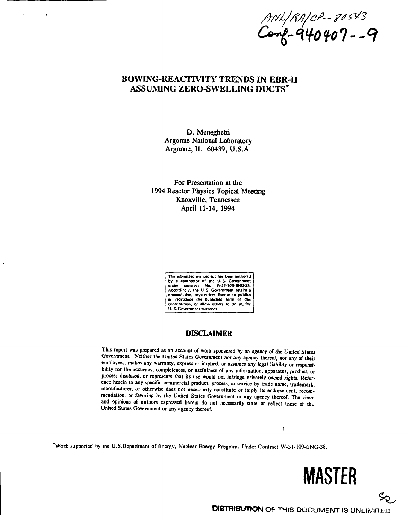ANL/RA/CP--80543<br>Cong-940407--9

# BOWING-REACTIVITY TRENDS IN EBR-II ASSUMING ZERO-SWELLING DUCTS\*

D. Meneghetti Argonne National Laboratory Argonne, IL 60439, U.S.A.

For Presentation at the 1994 Reactor Physics Topical Meeting Knoxville, Tennessee April **11-14,** 1994

> **The submitted manuscript has been authored by a contractor of the U. S. Government under contract No. W-31-109-ENG-3&. Accordingly, the U. S. Government retains a nonexclusive, royalty-free license to publish Or reproduce the published form of this contribution, or allow others to do so, for U. S. Government purposes.**

# **DISCLAIMER**

**This report was prepared as an account of work sponsored by an agency of the United States Government. Neither the United States Government nor any agency thereof, nor any of their employees, makes any warranty, express or implied, or assumes any legal liability or responsibility for the accuracy, completeness, or usefulness of any information, apparatus, product, or process disclosed, or represents that its use would not infringe privately owned rights. Reference herein to any specific commercial product, process, or service by trade name, trademark, manufacturer, or otherwise does not necessarily constitute or imply its endorsement, recommendation, or favoring by the United States Government or any agency thereof. The vievs and opinions of authors expressed herein do not necessarily state or reflect those of tht United States Government or any agency thereof.**

**\*Work supported by the U.S.Department of Energy, Nuclear Energy Programs Under Contract W-31-109-ENG-38.**

**MASTER**

**DISTRIBUTION** OF THIS DOCUMENT IS UNLIMITED

t,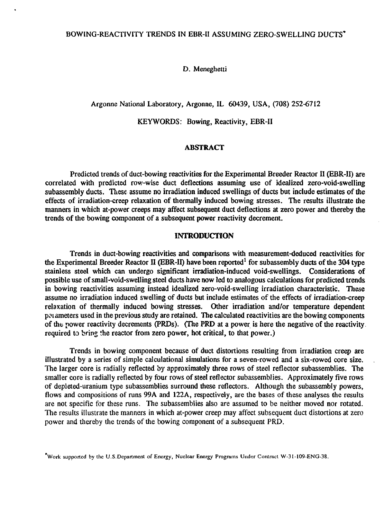D. Meneghetti

Argonne National Laboratory, Argonne, IL 60439, USA, (708) 252-6712

KEYWORDS: Bowing, Reactivity, EBR-II

#### **ABSTRACT**

Predicted trends of duct-bowing reactivities for the Experimental Breeder Reactor II (EBR-II) are correlated with predicted row-wise duct deflections assuming use of idealized zero-void-swelling subassembly ducts. These assume no irradiation induced swellings of ducts but include estimates of the effects of irradiation-creep relaxation of thermally induced bowing stresses. The results illustrate the manners in which at-power creeps may affect subsequent duct deflections at zero power and thereby the trends of the bowing component of a subsequent power reactivity decrement.

# **INTRODUCTION**

Trends in duct-bowing reactivities and comparisons with measurement-deduced reactivities for the Experimental Breeder Reactor II (EBR-II) have been reported<sup>1</sup> for subassembly ducts of the 304 type stainless steel which can undergo significant irradiation-induced void-swellings. Considerations of possible use of small-void-swelling steel ducts have now led to analogous calculations for predicted trends in bowing reactivities assuming instead idealized zero-void-swelling irradiation characteristic. These assume no irradiation induced swelling of ducts but include estimates of the effects of irradiation-creep relaxation of thermally induced bowing stresses. Other irradiation and/or temperature dependent parameters used in the previous study are retained. The calculated reactivities are the bowing components of the power reactivity decrements (PRDs). (The PRD at a power is here the negative of the reactivity. required to bring the reactor from zero power, hot critical, to that power.)

Trends in bowing component because of duct distortions resulting from irradiation creep are illustrated by a series of simple calculational simulations for a seven-rowed and a six-rowed core size. The larger core is radially reflected by approximately three rows of steel reflector subassemblies. The smaller core is radially reflected by four rows of steel reflector subassemblies. Approximately five rows of depleted-uranium type subassemblies surround these reflectors. Although the subassembly powers, flows and compositions of runs 99A and 122A, respectively, are the bases of these analyses the results are not specific for these runs. The subassemblies also are assumed to be neither moved nor rotated. The results illustrate the manners in which at-power creep may affect subsequent duct distortions at zero power and thereby the trends of the bowing component of a subsequent PRD.

Work supported by the U.S.Department of Energy, Nuclear Energy Programs Under Contract W-31-109-ENG-38.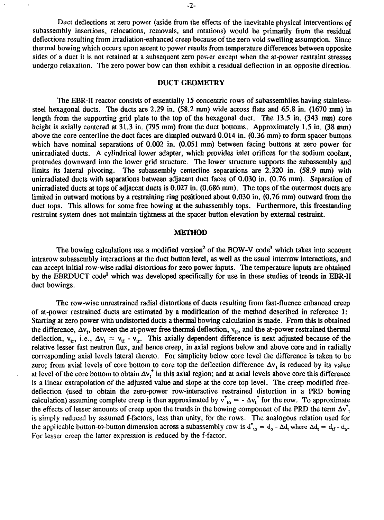Duct deflections at zero power (aside from the effects of the inevitable physical interventions of subassembly insertions, relocations, removals, and rotations) would be primarily from the residual deflections resulting from irradiation-enhanced creep because of the zero void swelling assumption. Since thermal bowing which occurs upon ascent to power results from temperature differences between opposite sides of a duct it is not retained at a subsequent zero power except when the at-power restraint stresses undergo relaxation. The zero power bow can then exhibit a residual deflection in an opposite direction.

# DUCT **GEOMETRY**

The EBR-II reactor consists of essentially 15 concentric rows of subassemblies having stainlesssteel hexagonal ducts. The ducts are 2.29 in. (58.2 mm) wide across flats and 65.8 in. (1670 mm) in length from the supporting grid plate to the top of the hexagonal duct. The 13.5 in. (343 mm) core height is axially centered at 31.3 in. (795 mm) from the duct bottoms. Approximately 1.5 in. (38 mm) above the core centerline the duct faces are dimpled outward 0.014 in. (0.36 mm) to form spacer buttons which have nominal separations of 0.002 in. (0.051 mm) between facing buttons at zero power for unirradiated ducts. A cylindrical lower adapter, which provides inlet orifices for the sodium coolant, protrudes downward into the lower grid structure. The lower structure supports the subassembly and limits its lateral pivoting. The subassembly centerline separations are 2.320 in. (58.9 mm) with unirradiated ducts with separations between adjacent duct faces of 0.030 in. (0.76 mm). Separation of unirradiated ducts at tops of adjacent ducts is 0.027 in. (0.686 mm). The tops of the outermost ducts are limited in outward motions by a restraining ring positioned about 0.030 in. (0.76 mm) outward from the duct tops. This allows for some free bowing at the subassembly tops. Furthermore, this freestanding restraint system does not maintain tightness at the spacer button elevation by external restraint.

#### **METHOD**

The bowing calculations use a modified version<sup>2</sup> of the BOW-V code<sup>3</sup> which takes into account intrarow subassembly interactions at the duct button level, as well as the usual interrow interactions, and can accept initial row-wise radial distortions for zero power inputs. The temperature inputs are obtained by the EBRDUCT code<sup>l</sup> which was developed specifically for use in these studies of trends in EBR-II duct bowings.

The row-wise unrestrained radial distortions of ducts resulting from fast-fluence enhanced creep of at-power restrained ducts are estimated by a modification of the method described in reference 1: Starting at zero power with undistorted ducts a thermal bowing calculation is made. From this is obtained the difference,  $\Delta v_t$ , between the at-power free thermal deflection,  $v_{tf}$ , and the at-power restrained thermal deflection,  $v_{tr}$ , i.e.,  $\Delta v_t = v_{tr} - v_{tr}$ . This axially dependent difference is next adjusted because of the relative lesser fast neutron flux, and hence creep, in axial regions below and above core and in radially corresponding axial levels lateral thereto. For simplicity below core level the difference is taken to be zero; from axial levels of core bottom to core top the deflection difference  $\Delta v_t$  is reduced by its value at level of the core bottom to obtain  $\Delta v_t^*$  in this axial region; and at axial levels above core this difference is a linear extrapolation of the adjusted value and slope at the core top level. The creep modified freedeflection (used to obtain the zero-power row-interactive restrained distortion in a PRD bowing calculation) assuming complete creep is then approximated by  $v_{to}^* = -\Delta v_t^*$  for the row. To approximate the effects of lesser amounts of creep upon the trends in the bowing component of the PRD the term  $\Delta v^*$ , is simply reduced by assumed f-factors, less than unity, for the rows. The analogous relation used for the applicable button-to-button dimension across a subassembly row is  $d^*_{\text{to}} = d_0 - \Delta d_t$ , where  $\Delta d_t = d_{\text{rf}} - d_{\text{rf}}$ . For lesser creep the latter expression is reduced by the f-factor.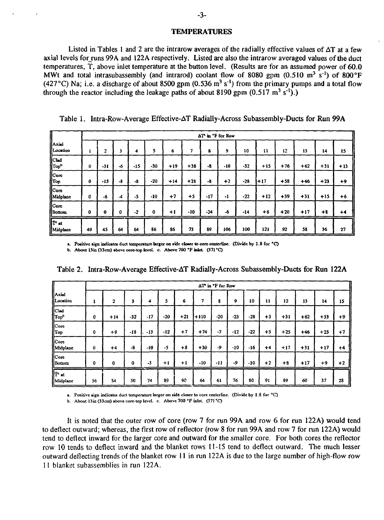#### **TEMPERATURES**

Listed in Tables 1 and 2 are the intrarow averages of the radially effective values of  $\Delta T$  at a few axial levels for runs 99A and 122A respectively. Listed are also the intrarow averaged values of the duct temperatures, T, above inlet temperature at the button level. (Results are for an assumed power of 60.0 MWt and total intrasubassembly (and intrarod) coolant flow of 8080 gpm (0.510 m<sup>3</sup> s<sup>-1</sup>) of 800°F (427 °C) Na; i.e. a discharge of about 8500 gpm (0.536 m<sup>3</sup> s<sup>-1</sup>) from the primary pumps and a total flow through the reactor including the leakage paths of about 8190 gpm  $(0.517 \text{ m}^3 \text{ s}^{-1})$ .)

| $\sqrt{\frac{1}{1}}$<br>Location<br>$\begin{bmatrix} \n\text{Clad} \\ \n\text{Top}^b \end{bmatrix}$<br>$\begin{bmatrix} \n \text{Core} \\ \n \text{Top} \n \end{bmatrix}$<br>[Core<br>Midplane<br>[Core<br>Bottom |    |              |                          |       |       |       |       |       | AT in °F for Row |       |       |       |       |       |       |
|-------------------------------------------------------------------------------------------------------------------------------------------------------------------------------------------------------------------|----|--------------|--------------------------|-------|-------|-------|-------|-------|------------------|-------|-------|-------|-------|-------|-------|
|                                                                                                                                                                                                                   | x  | $\mathbf{z}$ | 3                        | 4     | 5     | 6     | 7     | 8     | 9                | 10    | 11    | 12    | 13    | 14    | 15    |
|                                                                                                                                                                                                                   | 0  | $-31$        | -6                       | $-15$ | $-30$ | $+19$ | $+38$ | -8    | $-10$            | $-32$ | $+15$ | $+76$ | $+62$ | $+31$ | $+13$ |
|                                                                                                                                                                                                                   | 0  | -15          | -8                       | -8    | $-20$ | $+14$ | $+21$ | -8    | $+2$             | $-28$ | +17   | $+58$ | $+46$ | $+23$ | $+9$  |
|                                                                                                                                                                                                                   | 0  | -6           | $\overline{\mathcal{A}}$ | $-5$  | -10   | $+7$  | $+5$  | $-17$ | -1               | $-22$ | $+12$ | $+39$ | $+31$ | $+15$ | $+6$  |
|                                                                                                                                                                                                                   | o  | 0            | 0                        | $-2$  | 0     | $+1$  | -10   | $-24$ | -6               | -14   | $+6$  | $+20$ | $+17$ | $+8$  | $+4$  |
| Te at<br>Midplane                                                                                                                                                                                                 | 49 | 45           | 64                       | 64    | 86    | 86    | 73    | 89    | 106              | 100   | 121   | 92    | 58    | 36    | 27    |

Table 1. Intra-Row-Average Effective-AT Radially-Across Subassembly-Ducts for Run 99A

**a.** Positive sign indicates duct temperature larger on side closer to core centerline. (Divide by 1.8 for °C)

**b. About 13in (33cm) above core-top level c. Above 700 \*F inlet (371 °Q**

|                                    |             |       |       |         |       |       |        | AT in "F for Row |       |       |      |       |       |       |      |
|------------------------------------|-------------|-------|-------|---------|-------|-------|--------|------------------|-------|-------|------|-------|-------|-------|------|
| أأAxial<br><i><b>ILocation</b></i> | ı           | 2     | 3     | 4       | 5     | 6     | 7      | 8                | 9     | 10    | 11   | 12    | 13    | 14    | 15   |
| Clad<br>Top <sup>b</sup>           | 0           | $+14$ | $-32$ | $-17$   | $-20$ | $+21$ | $+110$ | $-20$            | -23   | $-28$ | $+3$ | +31   | $+62$ | $+33$ | $+9$ |
| $  $ Core<br>[[Top                 | 0           | $+9$  | $-18$ | $-13$   | -12   | $+7$  | $+74$  | $-7$             | $-12$ | $-22$ | $+5$ | $+25$ | $+46$ | $+25$ | $+7$ |
| llCore<br>Midplane                 | o           | $+4$  | -8    | $-10$   | -5    | $+8$  | $+30$  | -9               | -10   | -16   | $+4$ | $+17$ | $+31$ | $+17$ | $+4$ |
| Core<br>  Bottom                   | $\mathbf 0$ | 0     | 0     | $-3$    | $+1$  | $+1$  | -10    | -11              | -9    | -10   | $+2$ | $+8$  | $+17$ | $+9$  | $+2$ |
| $\Vert \tau$ at<br>Midplane        | 56          | 54    | 50    | ⋍<br>74 | 89    | 90    | 64     | 61               | 76    | 80    | 91   | 89    | 60    | 37    | 28   |

Table 2. Intra-Row-Average Effective-AT Radially-Across Subassembly-Ducts for Run 122A

**a. Positive sign indicates duct temperature larger on side closer to core cenicrline. (Divide by 1.8 for °C)**

**b. About 13in (33cm) above core-top level, c. Above 700 °F inlet. (371 °Q**

It is noted that the outer row of core (row 7 for run 99A and row 6 for run 122A) would tend to deflect outward; whereas, the first row of reflector (row 8 for run 99A and row 7 for run 122A) would tend to deflect inward for the larger core and outward for the smaller core. For both cores the reflector row 10 tends to deflect inward and the blanket rows 11-15 tend to deflect outward. The much lesser outward deflecting trends of the blanket row 11 in run 122A is due to the large number of high-flow row 11 blanket subassemblies in run 122A.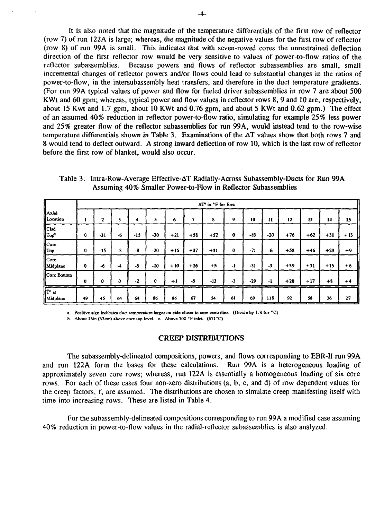It is also noted that the magnitude of the temperature differentials of the first row of reflector (row 7) of run 122 A is large; whereas, the magnitude of the negative values for the first row of reflector (row 8) of run 99A is small. This indicates that with seven-rowed cores the unrestrained deflection direction of the first reflector row would be very sensitive to values of power-to-flow ratios of the reflector subassemblies. Because powers and flows of reflector subassemblies are small, small incremental changes of reflector powers and/or flows could lead to substantial changes in the ratios of power-to-flow, in the intersubassembly heat transfers, and therefore in the duct temperature gradients. (For run 99A typical values of power and flow for fueled driver subassemblies in row 7 are about 500 KWt and 60 gpm; whereas, typical power and flow values in reflector rows 8, 9 and 10 are, respectively, about 15 Kwt and 1.7 gpm, about 10 KWt and 0.76 gpm, and about 5 KWt and 0.62 gpm.) The effect of an assumed 40% reduction in reflector power-to-flow ratio, simulating for example 25% less power and 25% greater flow of the reflector subassemblies for run 99A, would instead tend to the row-wise temperature differentials shown in Table 3. Examinations of the  $\Delta T$  values show that both rows 7 and 8 would tend to deflect outward. A strong inward deflection of row 10, which is the last row of reflector before the first row of blanket, would also occur.

Table 3. Intra-Row-Average Effective-AT Radially-Across Subassembly-Ducts for Run 99A Assuming 40% Smaller Power-to-Flow in Reflector Subassemblies

|                                                                |             |       |      |      |       |       |       | AT in 'F for Row |      |       |       |       |       |       |       |
|----------------------------------------------------------------|-------------|-------|------|------|-------|-------|-------|------------------|------|-------|-------|-------|-------|-------|-------|
| لمنحه اا<br>Location                                           |             | 2     | 3    | 4    | 5     | 6     | 7     | 8                | 9    | 10    | п     | 12    | 13    | 14    | 15    |
| Clad<br>Top <sup>b</sup>                                       | $\bf{0}$    | $-31$ | -6   | -15  | -30   | $+21$ | $+58$ | $+52$            | 0    | $-83$ | $-20$ | $+76$ | $+62$ | $+31$ | $+13$ |
| $\begin{array}{c} \n\text{Core} \\ \n\text{Top} \n\end{array}$ | 0           | $-15$ | $-8$ | -8   | $-20$ | $+16$ | $+37$ | $+31$            | 0    | - 71  | -6    | $+58$ | $+46$ | $+23$ | $+9$  |
| $\sqrt{\frac{1}{10}}$<br>Midplane                              | $\mathbf 0$ | -6    | -4   | -5   | -10   | $+10$ | $+16$ | $+5$             | -1   | $-51$ | $-3$  | $+39$ | $+31$ | $+15$ | $+6$  |
| Core Bottom                                                    | $\mathbf 0$ | 0     | 0    | $-2$ | 0     | $+1$  | $-5$  | $-13$            | $-3$ | $-29$ | -1    | $+20$ | $+17$ | $+8$  | $+4$  |
| $\int \tilde{T}^c$ at Midplane                                 | 49          | 45    | 64   | 64   | 86    | 86    | 67    | 54               | 61   | 69    | 118   | 92    | 58    | 36    | 27    |

**a. Positive sign indicates duct temperature larger on aide cloaer to core centcrline. (Divide by 1.8 for °C)**

**b. About Bin (33cm) above core top level, c. Above 700 °F inlet. (371 °C)**

#### **CREEP DISTRIBUTIONS**

The subassembly-delineated compositions, powers, and flows corresponding to EBR-II run 99A and run 122A form the bases for these calculations. Run 99A is a heterogeneous loading of approximately seven core rows; whereas, run 122A is essentially a homogeneous loading of six core rows. For each of these cases four non-zero distributions (a, b, c, and d) of row dependent values for the creep factors, f, are assumed. The distributions are chosen to simulate creep manifesting itself with time into increasing rows. These are listed in Table 4.

For the subassembly-delineated compositions corresponding to run 99A a modified case assuming 40% reduction in power-to-flow values in the radial-reflector subassemblies is also analyzed.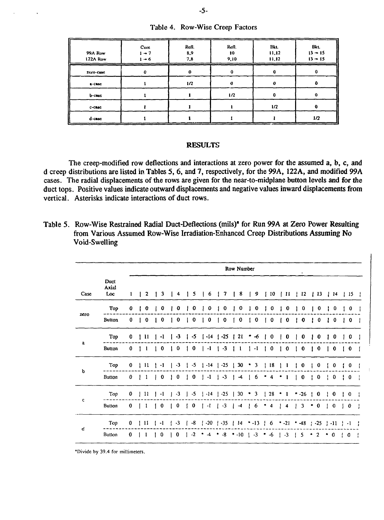| Table 4. Row-Wise Creep Factors |  |
|---------------------------------|--|
|                                 |  |

| 99A Row<br>122A Row | Core<br>$1 - 7$<br>$1 - 6$ | Refl.<br>8,9<br>7,8 | Refl.<br>10<br>9,10 | Bkt.<br>11,12<br>11,12 | ----<br>Bkt.<br>$13 - 15$<br>$13 - 15$ |
|---------------------|----------------------------|---------------------|---------------------|------------------------|----------------------------------------|
| ZCro-Casc           | 0                          | $\bf o$             | 0                   |                        |                                        |
| <b>B-CRAC</b>       |                            | 1/2                 |                     |                        |                                        |
| b-case              |                            |                     | 1/2                 |                        |                                        |
| c-case              |                            |                     |                     | 1/2                    |                                        |
| d-case              |                            |                     |                     |                        | 1/2                                    |

# **RESULTS**

The creep-modified row deflections and interactions at zero power for the assumed a, b, c, and d creep distributions are listed in Tables 5, 6, and 7, respectively, for the 99A, 122A, and modified 99A cases. The radial displacements of the rows are given for the near-to-midplane button levels and for the duct tops. Positive values indicate outward displacements and negative values inward displacements from vertical. Asterisks indicate interactions of duct rows.

| Table 5. Row-Wise Restrained Radial Duct-Deflections (mils) <sup>*</sup> for Run 99A at Zero Power Resulting |
|--------------------------------------------------------------------------------------------------------------|
| from Various Assumed Row-Wise Irradiation-Enhanced Creep Distributions Assuming No                           |
| Void-Swelling                                                                                                |

|      |                      |   |               |              |             |             |    |                  |    |                                              |   | Row Number      |              |         |   |                                                |                                       |              | ٠             |              |                |              |          |     |              |              |
|------|----------------------|---|---------------|--------------|-------------|-------------|----|------------------|----|----------------------------------------------|---|-----------------|--------------|---------|---|------------------------------------------------|---------------------------------------|--------------|---------------|--------------|----------------|--------------|----------|-----|--------------|--------------|
| Case | Duct<br>Axial<br>Loc | 1 | $\mathbf{z}$  | 3            | 4           | 5.          |    | 6                |    | 7                                            | Ł | 8               | $\mathbf{I}$ | 9       |   | 110                                            | $\perp$ 11                            |              | $\frac{1}{2}$ |              | $\vert$ 13     |              | 14       |     | 15           |              |
|      | Top                  | 0 | 0             | o            | 0           | 0           |    | 0                |    | 0                                            |   | 0               |              | 0       |   | 0                                              | 0                                     |              | 0             |              | 0              |              | 0        |     | 0            |              |
| zero | Button               | 0 | 0             | $\bf{0}$     | $\mathbf 0$ | $\mathbf 0$ | Т. | 0                |    | $\bf{0}$                                     |   | $\bf{0}$        |              | 0       |   | 0                                              | $\mathbf 0$                           |              | 0             | Ŧ            | 0              | 1            | 0        | -11 | $\mathbf 0$  | H            |
|      | Top                  | 0 | 11            | $\mathbf{-}$ | -3          | -5          |    | -14              | I  | $-25$                                        |   | 21              |              | -6      |   | 0                                              | 0                                     |              | 0             |              | 0              |              | 0        |     | 0            | ł            |
| a    | <b>Button</b>        | 0 | 1             | ΙOΙ          | $\bf{0}$    | $\mathbf 0$ |    | $\vert -1 \vert$ |    | $1 - 3$                                      |   | - 1             |              | $1 - 1$ |   | $\begin{pmatrix} 1 & 0 \\ 0 & 0 \end{pmatrix}$ | $\begin{pmatrix} 1 & 0 \end{pmatrix}$ | $\mathbf{I}$ | $\mathbf 0$   | $\mathbf{I}$ | 0              | $\mathbf{I}$ | $\bf{0}$ | Τ.  | $\mathbf{0}$ |              |
|      | Top                  | 0 | 11            | -1           | $-3$        | -5          |    | $1 - 14$         |    | $-25$                                        |   | 30 <sub>o</sub> | ۰            | 3       | Ł | 18                                             |                                       |              | 0             |              | 0              |              | 0        | f.  | 0            |              |
| b    | Button               | 0 | 1             | 0            | 0           | 0           |    | $-1$             |    | $\sim$ 3                                     |   | $-4$            |              | 6       |   | 4                                              | 1                                     |              | 0             | Н            | 0              |              | 0        | Ŧ   | 0            |              |
|      | Top                  | 0 | $\mathbf{11}$ | -1           | $-3$        | $-5$        | ÷  | $-14$            | ł. | $-25$                                        |   | 30              |              | 3       |   | $\begin{bmatrix} 28 \end{bmatrix}$             | 1                                     |              | $-26$         | 1            | $\bf{0}$       | Ł            | 0        | Ł   | 0            | $\mathbf{I}$ |
| С    | Button               | 0 | 1             | $\bf{0}$     | $\bf{0}$    | $\bf{0}$    |    | -1               |    | $\cdot$ 3                                    |   | $-4$            |              | 6       |   | 4                                              | 4                                     |              | 3             | ۰            | 0              | Ŧ            | 0        | ţ.  | 0            |              |
|      | Top                  | 0 | 11            | $\mathbf{I}$ | $-3$        | -8          |    | $! -20$          |    | $+ -35$                                      |   | 114             |              | $-13$   |   | 6                                              | $-21$                                 |              | $-48$         |              | $+ -25$        |              | $1 - 11$ | ÷   | $-1$         | -1           |
| q    | Button               | 0 |               | $\mathbf 0$  | $\bf{0}$    | $-2$        |    |                  |    | $\bullet$ -4 $\bullet$ -8 $\bullet$ -10   -3 |   |                 |              |         | ٠ | -6                                             | $-3$                                  |              | 5             | ۰            | $\overline{2}$ | ۰            | 0        |     | $\mathbf 0$  | -1           |

"Divide by 39.4 for millimeters.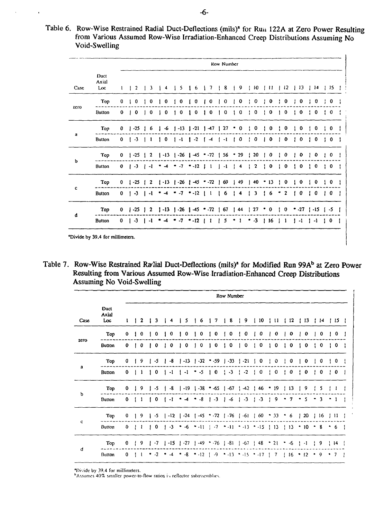| Table 6. Row-Wise Restrained Radial Duct-Deflections (mils) <sup>4</sup> for Run 122A at Zero Power Resulting |
|---------------------------------------------------------------------------------------------------------------|
| from Various Assumed Row-Wise Irradiation-Enhanced Creep Distributions Assuming No                            |
| Void-Swelling                                                                                                 |

 $\epsilon$ 

|      |                      |              |                |                                      |                |                                                                               |   |                |                                      |    | <b>Row Number</b>                    |                                                |                  |   |                                           |    |              |              |                                      |    |             |       |             |   |
|------|----------------------|--------------|----------------|--------------------------------------|----------------|-------------------------------------------------------------------------------|---|----------------|--------------------------------------|----|--------------------------------------|------------------------------------------------|------------------|---|-------------------------------------------|----|--------------|--------------|--------------------------------------|----|-------------|-------|-------------|---|
| Case | Duct<br>Axial<br>Loc | 1            | $\overline{2}$ | 3                                    | 4              | 5                                                                             |   | 6              | 7                                    |    | 8                                    | $\overline{9}$                                 | $\frac{1}{2}$ 10 |   | -11                                       |    | 112          |              | $\perp$ 13                           |    | 114         | $\pm$ | 15          |   |
|      | Top                  | 0            | 0              | 0                                    | 0              | 0                                                                             |   | 0              | 0                                    |    | 0                                    | 0                                              | 0                |   | 0                                         |    | 0            |              | 0                                    |    | 0           |       | 0           |   |
| zero | Button               | $\mathbf 0$  | $\sqrt{2}$     | $\begin{array}{c} 1 & 0 \end{array}$ | $\mathbf{0}$   | $\mathbf{o}$                                                                  |   | 1 <sub>0</sub> | $\begin{array}{c} 1 & 0 \end{array}$ |    | $\begin{array}{c} 1 & 0 \end{array}$ | $\begin{pmatrix} 1 & 0 \\ 0 & 0 \end{pmatrix}$ | $\frac{1}{2}$ 0  | ÷ | 0                                         |    | 0            | $\mathbf{f}$ | $^{\circ}$                           | и. | $\mathbf 0$ |       | $\mathbf 0$ |   |
|      | Top                  | 0            | $1 - 25$       | 16                                   | -6             | $1 - 13$ $1 - 21$                                                             |   |                | $1 - 47$                             | ÷. | 27                                   | $\bf{0}$                                       | 0                |   | 0                                         |    | 0            |              | 0                                    |    | 0           |       | $\mathbf 0$ |   |
| a    | <b>Button</b>        |              | $0 \mid -3$    | -1                                   | 1 <sub>0</sub> | $1 - 1$                                                                       |   | $1 - 2$        | $\sqrt{4}$                           |    | $1 - 1$                              | 1 <sub>0</sub>                                 | 0                |   | $\mathbf 0$                               |    | 0            | Ŧ.           | $\mathbf{0}$                         | ÷  | $\mathbf 0$ |       | $\mathbf 0$ |   |
|      | Top                  | $\mathbf 0$  | $1 - 25$       | 2                                    |                | $\begin{bmatrix} -13 & 1 & -26 \end{bmatrix}$ -45 $\cdot$ -72                 |   |                |                                      |    | 156                                  | -29                                            | $\frac{1}{20}$   |   | 0                                         |    | 0            |              | 0                                    |    | 0           |       | 0           |   |
| b    | Button               |              |                |                                      |                | $0$   -3   -1 $*$ -4 $*$ -7 $*$ -12   1   -1   4                              |   |                |                                      |    |                                      |                                                | $\frac{1}{2}$    |   | $\frac{1}{2}$                             | Ţ. | $\bf{0}$     |              | $\mathbf{o}$                         | ÷  | 0           |       | $\pm 0$     |   |
|      | Top                  | $\mathbf{0}$ | $1 - 25$       | -2                                   |                | $1 - 13$ $1 - 26$ $1 - 45$ $20$                                               |   |                |                                      | ,  | 69                                   | 149                                            | 140              |   | 13                                        |    | 0            |              | 0                                    |    | 0           |       | $\mathbf 0$ |   |
| c    | Button               |              |                |                                      |                | $0$   -3   -1 $*$ -4 $*$ -7 $*$ -12   1   6   4   3                           |   |                |                                      |    |                                      |                                                |                  |   | $\begin{array}{ccc} & 6 \\ & \end{array}$ |    | $\mathbf{2}$ |              | $\begin{array}{ccc} & 0 \end{array}$ | ÷  | 0           | -1    | 0           | H |
|      | Top                  | $\mathbf{0}$ | $1 - 25$       | 2                                    | $1 - 13$       | $-26$                                                                         | Ł |                | $-45 - 72$                           |    | 67                                   | <b>44</b>                                      | 27               |   | 0                                         |    | 0            |              | $-27$                                |    | $  -15$     |       | -5          |   |
| d    | Button               |              |                |                                      |                | 0   -3   -1   + -4   + -7   + -12   1   5   + 2   + -3   16   1   +1   -1   0 |   |                |                                      |    |                                      |                                                |                  |   |                                           |    |              |              |                                      |    |             |       |             |   |

\*Divide by 39.4 for millimeters.

 $\sim$ 

 $\langle \cdot \rangle$ 

| Table 7. Row-Wise Restrained Raclial Duct-Deflections (mils) <sup>®</sup> for Modified Run 99A <sup>b</sup> at Zero Power |
|---------------------------------------------------------------------------------------------------------------------------|
| Resulting from Various Assumed Row-Wise Irradiation-Enhanced Creep Distributions                                          |
| <b>Assuming No Void-Swelling</b>                                                                                          |

|      |                      |          |              |   |          |          |                                                      |            |                                  | Row Number                            |                                                            |                                                                                                                                                                                                                                                                                                                                |   |       |                                       |   |                                       |                      |                                       |           |              |              |                                       |     |
|------|----------------------|----------|--------------|---|----------|----------|------------------------------------------------------|------------|----------------------------------|---------------------------------------|------------------------------------------------------------|--------------------------------------------------------------------------------------------------------------------------------------------------------------------------------------------------------------------------------------------------------------------------------------------------------------------------------|---|-------|---------------------------------------|---|---------------------------------------|----------------------|---------------------------------------|-----------|--------------|--------------|---------------------------------------|-----|
| Case | Duct<br>Axial<br>Loc | 1        | $\mathbf{2}$ |   | 3        |          | s                                                    | 6          | 7                                | 8                                     | 9                                                          | $\begin{pmatrix} 1 & 1 & 0 \\ 0 & 1 & 0 \\ 0 & 0 & 0 \\ 0 & 0 & 0 \\ 0 & 0 & 0 \\ 0 & 0 & 0 \\ 0 & 0 & 0 & 0 \\ 0 & 0 & 0 & 0 \\ 0 & 0 & 0 & 0 \\ 0 & 0 & 0 & 0 \\ 0 & 0 & 0 & 0 & 0 \\ 0 & 0 & 0 & 0 & 0 \\ 0 & 0 & 0 & 0 & 0 \\ 0 & 0 & 0 & 0 & 0 & 0 \\ 0 & 0 & 0 & 0 & 0 & 0 \\ 0 & 0 & 0 & 0 & 0 & 0 \\ 0 & 0 & 0 & 0 & $ |   | ÷     | 11                                    | 4 | 12                                    |                      | 113                                   |           | -14          |              | 115                                   | - 1 |
|      | Top                  | 0        | $\bf{0}$     |   | $\bf{0}$ | $\bf{0}$ | 0                                                    | 0          | 0                                | 0                                     | 0                                                          |                                                                                                                                                                                                                                                                                                                                | 0 |       | 0                                     |   | 0                                     |                      | 0                                     |           | 0            |              | 0                                     |     |
| zero | <b>Button</b>        | $\bf{0}$ | 0            |   | $\bf{0}$ | 0        | $\mathbf 0$                                          | 0          | $\mathbf{1}$ 0                   | $\begin{array}{cc} 1 & 0 \end{array}$ | $\begin{array}{c} 1 & 0 \end{array}$                       | $\begin{array}{cc} 1 & 0 \end{array}$                                                                                                                                                                                                                                                                                          |   |       | $\begin{array}{cc} 1 & 0 \end{array}$ |   | $\begin{array}{cc} 1 & 0 \end{array}$ |                      | $\begin{array}{cc} 1 & 0 \end{array}$ |           | $\ddot{ }$ 0 |              | $\begin{array}{cc} 1 & 0 \end{array}$ | - 1 |
|      | Top                  | 0        | 9            |   | -5       | -8       | $1 - 13$                                             |            | $1 - 32 - 59$                    | $1 - 33$                              | $+ -21$                                                    | ÷                                                                                                                                                                                                                                                                                                                              | 0 |       | O                                     |   | O                                     |                      | 0                                     |           | 0            |              | 0                                     |     |
| а    | Button               | 0        | -1           |   | 0        | i -i     | $1 - 1$                                              | $\cdot$ -5 | $\begin{array}{c} 1 \end{array}$ | $\frac{1}{2}$                         | $-2$<br>ч.                                                 | ÷                                                                                                                                                                                                                                                                                                                              | 0 | ÷     | 0                                     | ÷ | 0                                     |                      | $\mathbf{0}$                          |           | $\mathbf 0$  |              | $\begin{array}{cc} 1 & 0 \end{array}$ | J.  |
|      | Top                  | 0        | 9            |   | -5       | -8       | $1 - 19$ $1 - 38$ $65$                               |            |                                  |                                       | $1 - 67 + 42$                                              | $\frac{1}{2}$ 46                                                                                                                                                                                                                                                                                                               |   | ٠     | 19                                    | Ŧ | 13                                    |                      | 9                                     |           | 5            |              | -1                                    |     |
| Ъ    | Button               | 0        | 1            |   | 0        | -1       | $-4$                                                 | -8         | $  -3  $                         | $1 - 6$                               | $-3$<br>$\mathbf{1}$                                       | $\frac{1}{2}$ -3                                                                                                                                                                                                                                                                                                               |   | Ţ.    | 9                                     | ٠ | $\tau$                                | ۰                    | $\mathbf{S}$                          |           | 3            |              | $-1$                                  |     |
|      | Top                  | 0        | 9            | ı | -5       | $-12$    |                                                      |            |                                  |                                       | $[-24 \t{-45 \t{-472}} \t{-76} \t{-61} \t{60}$             |                                                                                                                                                                                                                                                                                                                                |   |       | $+33$                                 | ٠ | -6                                    | $\mathbf{1}$         | -20                                   | ŀ         | -16          |              | 111                                   |     |
| c    | Button               | 0        | 1            |   | 0        | $-3$     | $\cdot$ -6                                           | $-11$      |                                  |                                       | $\uparrow$ -7 $\uparrow$ -11 $\uparrow$ -13 $\uparrow$ -15 |                                                                                                                                                                                                                                                                                                                                |   |       | 113                                   |   | $+13$                                 |                      | $^{\circ}$ 10                         | $\bullet$ | 8            | $\bullet$    | 6                                     |     |
|      | Top                  | 0        | 9            | Ł | -7       |          | $\{ -15 \}$ $-27 \}$ $-49$ $-76$ $\}$ $-81$ $\{ -67$ |            |                                  |                                       |                                                            | $\frac{1}{2}$ 48                                                                                                                                                                                                                                                                                                               |   | $+21$ |                                       | ٠ | $-6$                                  | $\ddot{\phantom{1}}$ | $-1$                                  | ÷         | -9           | $\mathbf{1}$ | 14                                    |     |
| đ    | Button               | $\bf{0}$ |              |   | -2       | -4       | -8                                                   |            |                                  |                                       | $+42$ [ 9 $+43$ $+45$ $+47$ ]                              |                                                                                                                                                                                                                                                                                                                                |   |       | $\tau$                                |   | $16 * 12$                             |                      |                                       |           | $\cdot$ 9    |              | 7                                     | - 1 |

\*Divide by 39.4 for millimeters.<br>\*Assumes 40% smaller power-to-flow ratios in reflector subassemblies.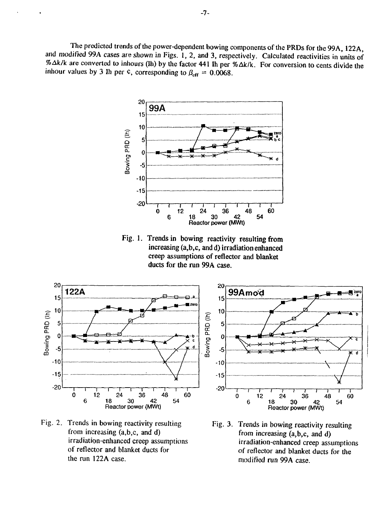The predicted trends of the power-dependent bowing components of the PRDs for the 99A, 122A, and modified 99A cases are shown in Figs. 1, 2, and 3, respectively. Calculated reactivities in units of %Ak/k are converted to inhours (Ih) by the factor 441 Ih per % Ak/k. For conversion to cents divide the inhour values by 3 Ih per  $\varsigma$ , corresponding to  $\beta_{\text{eff}} = 0.0068$ .



Fig. 1. Trends in bowing reactivity resulting from increasing (a,b,c, and d) irradiation enhanced creep assumptions of reflector and blanket ducts for the run 99A case.



Fig. 2. Trends in bowing reactivity resulting from increasing (a,b,c, and d) irradiation-enhanced creep assumptions of reflector and blanket ducts for the run 122A case.



Fig. 3. Trends in bowing reactivity resulting from increasing (a,b,c, and d) irradiation-enhanced creep assumptions of reflector and blanket ducts for the modified run 99A case.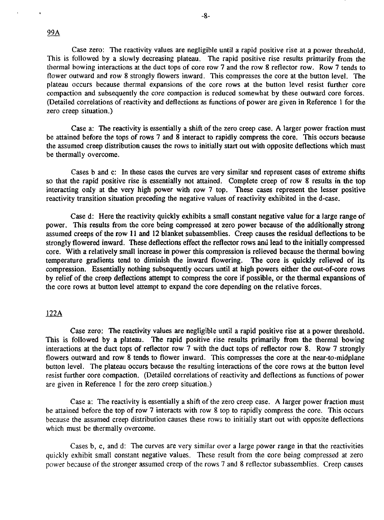Case zero: The reactivity values are negligible until a rapid positive rise at a power threshold. This is followed by a slowly decreasing plateau. The rapid positive rise results primarily from the thermal bowing interactions at the duct tops of core row 7 and the row 8 reflector row. Row 7 tends to flower outward and row 8 strongly flowers inward. This compresses the core at the button level. The plateau occurs because thermal expansions of the core rows at the button level resist further core compaction and subsequently the core compaction is reduced somewhat by these outward core forces. (Detailed correlations of reactivity and deflections as functions of power are given in Reference 1 for the zero creep situation.)

-8-

Case a: The reactivity is essentially a shift of the zero creep case. A larger power fraction must be attained before the tops of rows 7 and 8 interact to rapidly compress the core. This occurs because the assumed creep distribution causes the rows to initially start out with opposite deflections which must be thermally overcome.

Cases b and c: In these cases the curves are very similar and represent cases of extreme shifts so that the rapid positive rise is essentially not attained. Complete creep of row 8 results in the top interacting only at the very high power with row 7 top. These cases represent the lesser positive reactivity transition situation preceding the negative values of reactivity exhibited in the d-case.

Case d: Here the reactivity quickly exhibits a small constant negative value for a large range of power. This results from the core being compressed at zero power because of the additionally strong assumed creeps of the row 11 and 12 blanket subassemblies. Creep causes the residual deflections to be strongly flowered inward. These deflections effect the reflector rows and lead to the initially compressed core. With a relatively small increase in power this compression is relieved because the thermal bowing temperature gradients tend to diminish the inward flowering. The core is quickly relieved of its compression. Essentially nothing subsequently occurs until at high powers either the out-of-core rows by relief of the creep deflections attempt to compress the core if possible, or the thermal expansions of the core rows at button level attempt to expand the core depending on the relative forces.

# 122A

Case zero: The reactivity values are negligible until a rapid positive rise at a power threshold. This is followed by a plateau. The rapid positive rise results primarily from the thermal bowing interactions at the duct tops of reflector row 7 with the duct tops of reflector row 8. Row 7 strongly flowers outward and row 8 tends to flower inward. This compresses the core at the near-to-midplane button level. The plateau occurs because the resulting interactions of the core rows at the button level resist further core compaction. (Detailed correlations of reactivity and deflections as functions of power are given in Reference 1 for the zero creep situation.)

Case a: The reactivity is essentially a shift of the zero creep case. A larger power fraction must be attained before the top of row 7 interacts with row 8 top to rapidly compress the core. This occurs because the assumed creep distribution causes these rows to initially start out with opposite deflections which must be thermally overcome.

Cases b, c, and d: The curves are very similar over a large power range in that the reactivities quickly exhibit small constant negative values. These result from the core being compressed at zero power because of the stronger assumed creep of the rows 7 and 8 reflector subassemblies. Creep causes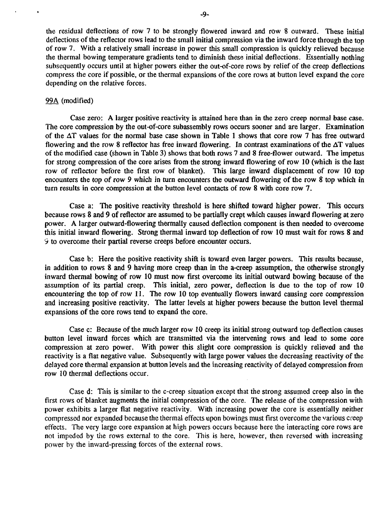the residual deflections of row 7 to be strongly flowered inward and row 8 outward. These initial deflections of the reflector rows lead to the small initial compression via the inward force through the top of row 7. With a relatively small increase in power this small compression is quickly relieved because the thermal bowing temperature gradients tend to diminish these initial deflections. Essentially nothing subsequently occurs until at higher powers either the out-of-core rows by relief of the creep deflections compress the core if possible, or the thermal expansions of the core rows at button level expand the core depending on the relative forces.

### 99A (modified)

Case zero: A larger positive reactivity is attained here than in the zero creep normal base case. The core compression by the out-of-core subassembly rows occurs sooner and are larger. Examination of the AT values for the normal base case shown in Table 1 shows that core row 7 has free outward flowering and the row 8 reflector has free inward flowering. In contrast examinations of the AT values of the modified case (shown in Table 3) shows that both rows 7 and 8 free-flower outward. The impetus for strong compression of the core arises from the strong inward flowering of row 10 (which is the last row of reflector before the first row of blanket). This large inward displacement of row 10 top encounters the top of row 9 which in turn encounters the outward flowering of the row 8 top which in turn results in core compression at the button level contacts of row 8 with core row 7.

Case a: The positive reactivity threshold is here shifted toward higher power. This occurs because rows 8 and 9 of reflector are assumed to be partially crept which causes inward flowering at zero power. A larger outward-flowering thermally caused deflection component is then needed to overcome this initial inward flowering. Strong thermal inward top deflection of row 10 must wait for rows 8 and *9* to overcome their partial reverse creeps before encounter occurs.

Case b: Here the positive reactivity shift is toward even larger powers. This results because, in addition to rows 8 and 9 having more creep than in the a-creep assumption, the otherwise strongly inward thermal bowing of row 10 must now first overcome its initial outward bowing because of the assumption of its partial creep. This initial, zero power, deflection is due to the top of row 10 encountering the top of row 11. The row 10 top eventually flowers inward causing core compression and increasing positive reactivity. The latter levels at higher powers because the button level thermal expansions of the core rows tend to expand the core.

Case c: Because of the much larger row 10 creep its initial strong outward top deflection causes button level inward forces which are transmitted via the intervening rows and lead to some core compression at zero power. With power this slight core compression is quickly relieved and the reactivity is a flat negative value. Subsequently with large power values the decreasing reactivity of the delayed core thermal expansion at button levels and the increasing reactivity of delayed compression from row 10 thermal deflections occur.

Case d: This is similar to the c-creep situation except that the strong assumed creep also in the first rows of blanket augments the initial compression of the core. The release of the compression with power exhibits a larger flat negative reactivity. With increasing power the core is essentially neither compressed nor expanded because the thermal effects upon bowings must first overcome the various creep effects. The very large core expansion at high powers occurs because here the interacting core rows are not impeded by the rows external to the core. This is here, however, then reversed with increasing power by the inward-pressing forces of the external rows.